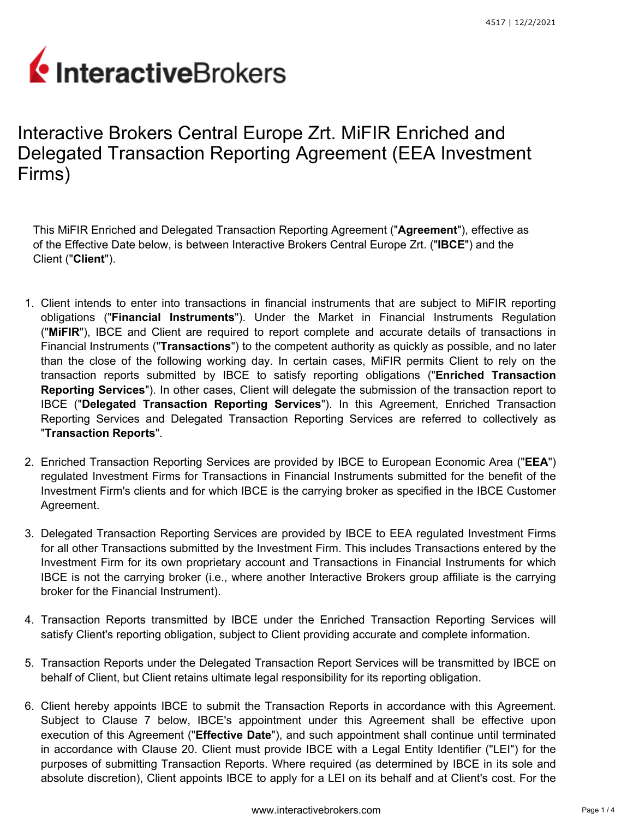## InteractiveBrokers

## Interactive Brokers Central Europe Zrt. MiFIR Enriched and Delegated Transaction Reporting Agreement (EEA Investment Firms)

This MiFIR Enriched and Delegated Transaction Reporting Agreement ("**Agreement**"), effective as of the Effective Date below, is between Interactive Brokers Central Europe Zrt. ("**IBCE**") and the Client ("**Client**").

- 1. Client intends to enter into transactions in financial instruments that are subject to MiFIR reporting obligations ("**Financial Instruments**"). Under the Market in Financial Instruments Regulation ("**MiFIR**"), IBCE and Client are required to report complete and accurate details of transactions in Financial Instruments ("**Transactions**") to the competent authority as quickly as possible, and no later than the close of the following working day. In certain cases, MiFIR permits Client to rely on the transaction reports submitted by IBCE to satisfy reporting obligations ("**Enriched Transaction Reporting Services**"). In other cases, Client will delegate the submission of the transaction report to IBCE ("**Delegated Transaction Reporting Services**"). In this Agreement, Enriched Transaction Reporting Services and Delegated Transaction Reporting Services are referred to collectively as "**Transaction Reports**".
- 2. Enriched Transaction Reporting Services are provided by IBCE to European Economic Area ("**EEA**") regulated Investment Firms for Transactions in Financial Instruments submitted for the benefit of the Investment Firm's clients and for which IBCE is the carrying broker as specified in the IBCE Customer Agreement.
- 3. Delegated Transaction Reporting Services are provided by IBCE to EEA regulated Investment Firms for all other Transactions submitted by the Investment Firm. This includes Transactions entered by the Investment Firm for its own proprietary account and Transactions in Financial Instruments for which IBCE is not the carrying broker (i.e., where another Interactive Brokers group affiliate is the carrying broker for the Financial Instrument).
- 4. Transaction Reports transmitted by IBCE under the Enriched Transaction Reporting Services will satisfy Client's reporting obligation, subject to Client providing accurate and complete information.
- 5. Transaction Reports under the Delegated Transaction Report Services will be transmitted by IBCE on behalf of Client, but Client retains ultimate legal responsibility for its reporting obligation.
- 6. Client hereby appoints IBCE to submit the Transaction Reports in accordance with this Agreement. Subject to Clause 7 below, IBCE's appointment under this Agreement shall be effective upon execution of this Agreement ("**Effective Date**"), and such appointment shall continue until terminated in accordance with Clause 20. Client must provide IBCE with a Legal Entity Identifier ("LEI") for the purposes of submitting Transaction Reports. Where required (as determined by IBCE in its sole and absolute discretion), Client appoints IBCE to apply for a LEI on its behalf and at Client's cost. For the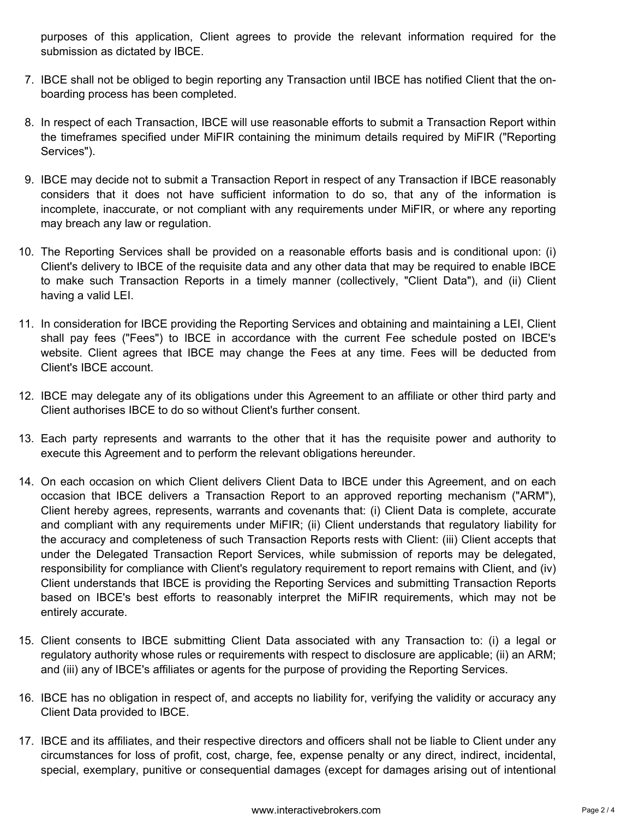purposes of this application, Client agrees to provide the relevant information required for the submission as dictated by IBCE.

- 7. IBCE shall not be obliged to begin reporting any Transaction until IBCE has notified Client that the onboarding process has been completed.
- 8. In respect of each Transaction, IBCE will use reasonable efforts to submit a Transaction Report within the timeframes specified under MiFIR containing the minimum details required by MiFIR ("Reporting Services").
- 9. IBCE may decide not to submit a Transaction Report in respect of any Transaction if IBCE reasonably considers that it does not have sufficient information to do so, that any of the information is incomplete, inaccurate, or not compliant with any requirements under MiFIR, or where any reporting may breach any law or regulation.
- 10. The Reporting Services shall be provided on a reasonable efforts basis and is conditional upon: (i) Client's delivery to IBCE of the requisite data and any other data that may be required to enable IBCE to make such Transaction Reports in a timely manner (collectively, "Client Data"), and (ii) Client having a valid LEI.
- 11. In consideration for IBCE providing the Reporting Services and obtaining and maintaining a LEI, Client shall pay fees ("Fees") to IBCE in accordance with the current Fee schedule posted on IBCE's website. Client agrees that IBCE may change the Fees at any time. Fees will be deducted from Client's IBCE account.
- 12. IBCE may delegate any of its obligations under this Agreement to an affiliate or other third party and Client authorises IBCE to do so without Client's further consent.
- 13. Each party represents and warrants to the other that it has the requisite power and authority to execute this Agreement and to perform the relevant obligations hereunder.
- 14. On each occasion on which Client delivers Client Data to IBCE under this Agreement, and on each occasion that IBCE delivers a Transaction Report to an approved reporting mechanism ("ARM"), Client hereby agrees, represents, warrants and covenants that: (i) Client Data is complete, accurate and compliant with any requirements under MiFIR; (ii) Client understands that regulatory liability for the accuracy and completeness of such Transaction Reports rests with Client: (iii) Client accepts that under the Delegated Transaction Report Services, while submission of reports may be delegated, responsibility for compliance with Client's regulatory requirement to report remains with Client, and (iv) Client understands that IBCE is providing the Reporting Services and submitting Transaction Reports based on IBCE's best efforts to reasonably interpret the MiFIR requirements, which may not be entirely accurate.
- 15. Client consents to IBCE submitting Client Data associated with any Transaction to: (i) a legal or regulatory authority whose rules or requirements with respect to disclosure are applicable; (ii) an ARM; and (iii) any of IBCE's affiliates or agents for the purpose of providing the Reporting Services.
- 16. IBCE has no obligation in respect of, and accepts no liability for, verifying the validity or accuracy any Client Data provided to IBCE.
- 17. IBCE and its affiliates, and their respective directors and officers shall not be liable to Client under any circumstances for loss of profit, cost, charge, fee, expense penalty or any direct, indirect, incidental, special, exemplary, punitive or consequential damages (except for damages arising out of intentional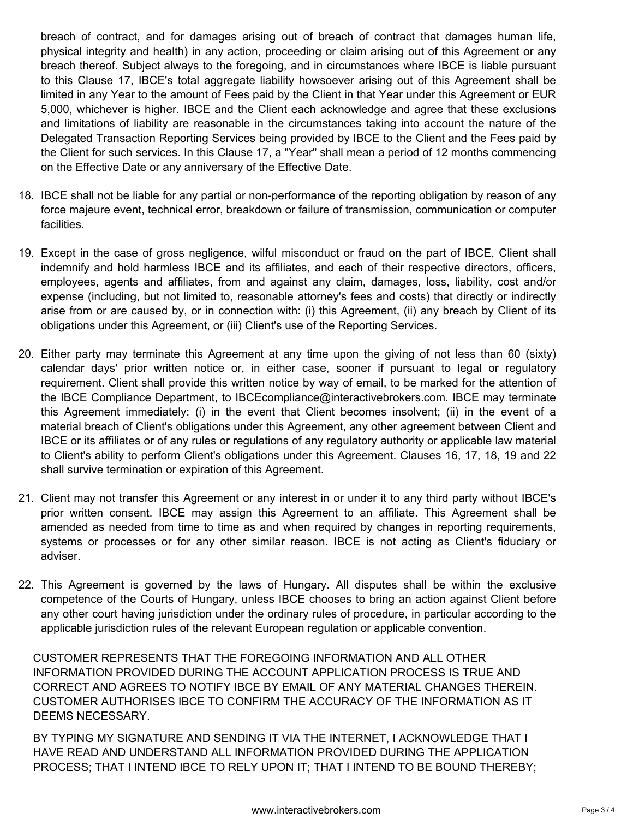breach of contract, and for damages arising out of breach of contract that damages human life, physical integrity and health) in any action, proceeding or claim arising out of this Agreement or any breach thereof. Subject always to the foregoing, and in circumstances where IBCE is liable pursuant to this Clause 17, IBCE's total aggregate liability howsoever arising out of this Agreement shall be limited in any Year to the amount of Fees paid by the Client in that Year under this Agreement or EUR 5,000, whichever is higher. IBCE and the Client each acknowledge and agree that these exclusions and limitations of liability are reasonable in the circumstances taking into account the nature of the Delegated Transaction Reporting Services being provided by IBCE to the Client and the Fees paid by the Client for such services. In this Clause 17, a "Year" shall mean a period of 12 months commencing on the Effective Date or any anniversary of the Effective Date.

- 18. IBCE shall not be liable for any partial or non-performance of the reporting obligation by reason of any force majeure event, technical error, breakdown or failure of transmission, communication or computer facilities.
- 19. Except in the case of gross negligence, wilful misconduct or fraud on the part of IBCE, Client shall indemnify and hold harmless IBCE and its affiliates, and each of their respective directors, officers, employees, agents and affiliates, from and against any claim, damages, loss, liability, cost and/or expense (including, but not limited to, reasonable attorney's fees and costs) that directly or indirectly arise from or are caused by, or in connection with: (i) this Agreement, (ii) any breach by Client of its obligations under this Agreement, or (iii) Client's use of the Reporting Services.
- 20. Either party may terminate this Agreement at any time upon the giving of not less than 60 (sixty) calendar days' prior written notice or, in either case, sooner if pursuant to legal or regulatory requirement. Client shall provide this written notice by way of email, to be marked for the attention of the IBCE Compliance Department, to IBCEcompliance@interactivebrokers.com. IBCE may terminate this Agreement immediately: (i) in the event that Client becomes insolvent; (ii) in the event of a material breach of Client's obligations under this Agreement, any other agreement between Client and IBCE or its affiliates or of any rules or regulations of any regulatory authority or applicable law material to Client's ability to perform Client's obligations under this Agreement. Clauses 16, 17, 18, 19 and 22 shall survive termination or expiration of this Agreement.
- 21. Client may not transfer this Agreement or any interest in or under it to any third party without IBCE's prior written consent. IBCE may assign this Agreement to an affiliate. This Agreement shall be amended as needed from time to time as and when required by changes in reporting requirements, systems or processes or for any other similar reason. IBCE is not acting as Client's fiduciary or adviser.
- 22. This Agreement is governed by the laws of Hungary. All disputes shall be within the exclusive competence of the Courts of Hungary, unless IBCE chooses to bring an action against Client before any other court having jurisdiction under the ordinary rules of procedure, in particular according to the applicable jurisdiction rules of the relevant European regulation or applicable convention.

CUSTOMER REPRESENTS THAT THE FOREGOING INFORMATION AND ALL OTHER INFORMATION PROVIDED DURING THE ACCOUNT APPLICATION PROCESS IS TRUE AND CORRECT AND AGREES TO NOTIFY IBCE BY EMAIL OF ANY MATERIAL CHANGES THEREIN. CUSTOMER AUTHORISES IBCE TO CONFIRM THE ACCURACY OF THE INFORMATION AS IT DEEMS NECESSARY.

BY TYPING MY SIGNATURE AND SENDING IT VIA THE INTERNET, I ACKNOWLEDGE THAT I HAVE READ AND UNDERSTAND ALL INFORMATION PROVIDED DURING THE APPLICATION PROCESS; THAT I INTEND IBCE TO RELY UPON IT; THAT I INTEND TO BE BOUND THEREBY;